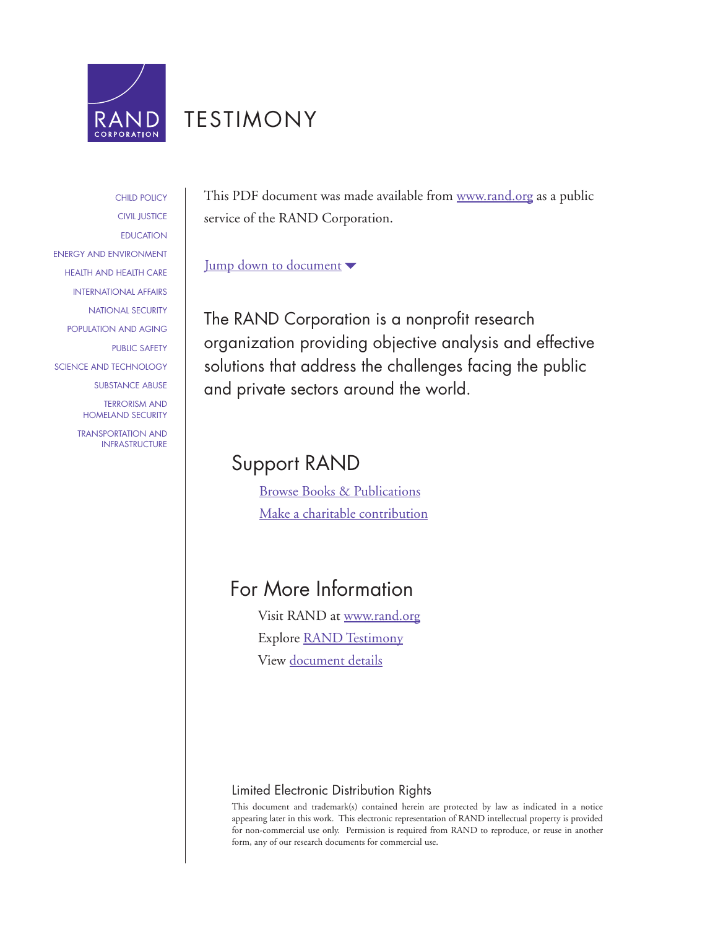

## [TESTIMONY](http://www.rand.org/pdfrd/congress/testimony.html)

[CHILD POLICY](http://www.rand.org/pdfrd/research_areas/children/) [CIVIL JUSTICE](http://www.rand.org/pdfrd/research_areas/civil_justice/) **[EDUCATION](http://www.rand.org/pdfrd/research_areas/education/)** [ENERGY AND ENVIRONMENT](http://www.rand.org/pdfrd/research_areas/energy_environment/) [HEALTH AND HEALTH CARE](http://www.rand.org/pdfrd/research_areas/health/) [INTERNATIONAL AFFAIRS](http://www.rand.org/pdfrd/research_areas/international_affairs/) [NATIONAL SECURITY](http://www.rand.org/pdfrd/research_areas/national_security/) [POPULATION AND AGING](http://www.rand.org/pdfrd/research_areas/population/) [PUBLIC SAFETY](http://www.rand.org/pdfrd/research_areas/public_safety/) [SCIENCE AND TECHNOLOGY](http://www.rand.org/pdfrd/research_areas/science_technology/) [SUBSTANCE ABUSE](http://www.rand.org/pdfrd/research_areas/substance_abuse/) [TERRORISM AND](http://www.rand.org/pdfrd/research_areas/terrorism/)  [HOMELAND SECURITY](http://www.rand.org/pdfrd/research_areas/terrorism/) [TRANSPORTATION AND](http://www.rand.org/pdfrd/research_areas/infrastructure/) [INFRASTRUCTURE](http://www.rand.org/pdfrd/research_areas/infrastructure/) This PDF document was made available from [www.rand.org](http://www.rand.org/pdfrd/) as a public service of the RAND Corporation.

### [Jump down to document](#page-1-0)

The RAND Corporation is a nonprofit research organization providing objective analysis and effective solutions that address the challenges facing the public and private sectors around the world.

### Support RAND

[Browse Books & Publications](http://www.rand.org/pdfrd/publications/electronic/) [Make a charitable contribution](http://www.rand.org/pdfrd/giving/contribute.html)

### For More Information

Visit RAND at [www.rand.org](http://www.rand.org/pdfrd/) Explore [RAND Testimony](http://www.rand.org/pdfrd/congress/testimony.html) View [document details](http://www.rand.org/pdfrd/publications/CT/CT241/)

### Limited Electronic Distribution Rights

This document and trademark(s) contained herein are protected by law as indicated in a notice appearing later in this work. This electronic representation of RAND intellectual property is provided for non-commercial use only. Permission is required from RAND to reproduce, or reuse in another form, any of our research documents for commercial use.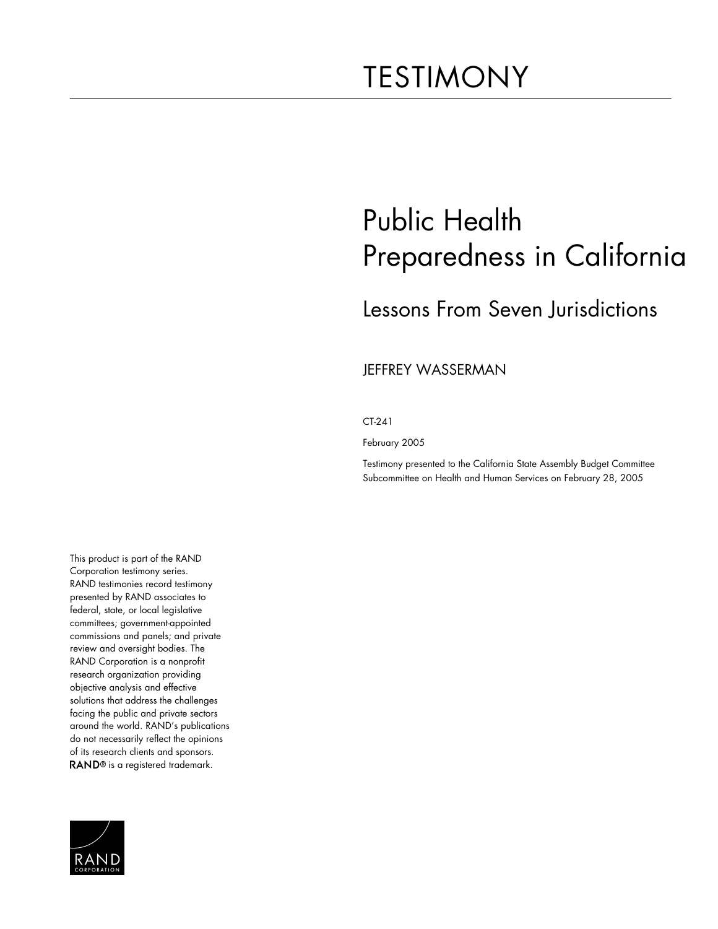# <span id="page-1-0"></span>TESTIMONY

# Public Health Preparedness in California

## Lessons From Seven Jurisdictions

#### JEFFREY WASSERMAN

CT-241

February 2005

Testimony presented to the California State Assembly Budget Committee Subcommittee on Health and Human Services on February 28, 2005

This product is part of the RAND Corporation testimony series. RAND testimonies record testimony presented by RAND associates to federal, state, or local legislative committees; government-appointed commissions and panels; and private review and oversight bodies. The RAND Corporation is a nonprofit research organization providing objective analysis and effective solutions that address the challenges facing the public and private sectors around the world. RAND's publications do not necessarily reflect the opinions of its research clients and sponsors. RAND<sup>®</sup> is a registered trademark.

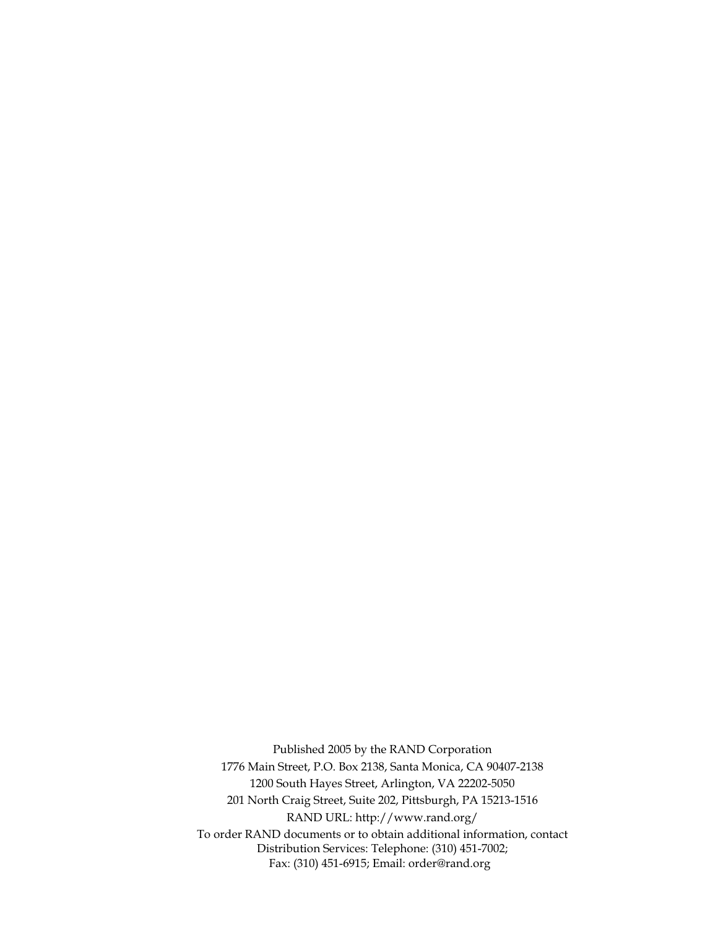Published 2005 by the RAND Corporation 1776 Main Street, P.O. Box 2138, Santa Monica, CA 90407-2138 1200 South Hayes Street, Arlington, VA 22202-5050 201 North Craig Street, Suite 202, Pittsburgh, PA 15213-1516 RAND URL: http://www.rand.org/ To order RAND documents or to obtain additional information, contact Distribution Services: Telephone: (310) 451-7002; Fax: (310) 451-6915; Email: order@rand.org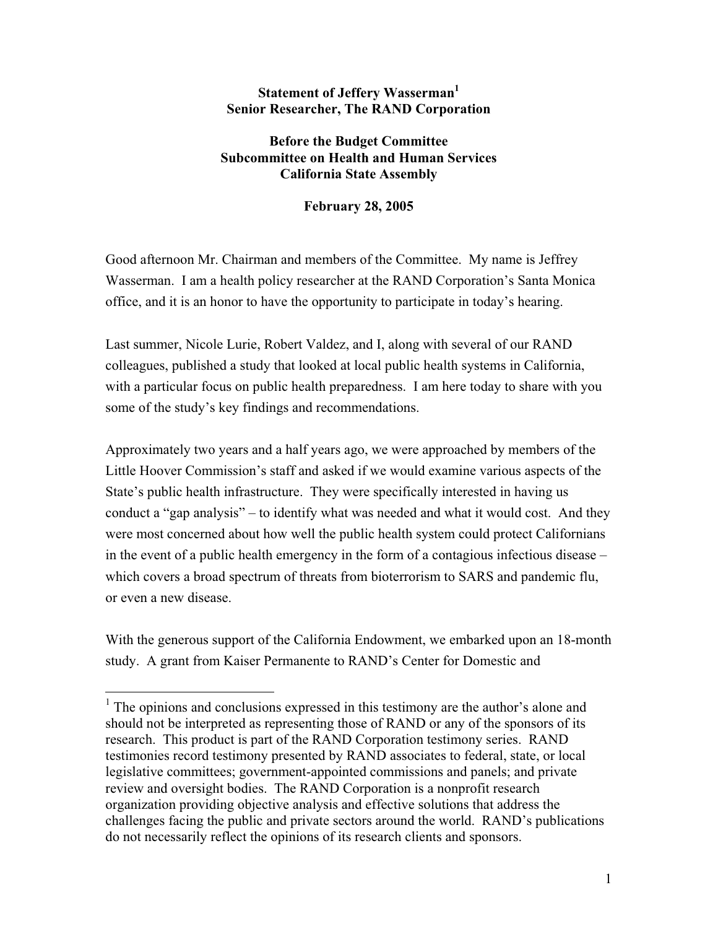#### **Statement of Jeffery Wasserman**<sup>1</sup> **Senior Researcher, The RAND Corporation**

### **Before the Budget Committee Subcommittee on Health and Human Services California State Assembly**

**February 28, 2005**

Good afternoon Mr. Chairman and members of the Committee. My name is Jeffrey Wasserman. I am a health policy researcher at the RAND Corporation's Santa Monica office, and it is an honor to have the opportunity to participate in today's hearing.

Last summer, Nicole Lurie, Robert Valdez, and I, along with several of our RAND colleagues, published a study that looked at local public health systems in California, with a particular focus on public health preparedness. I am here today to share with you some of the study's key findings and recommendations.

Approximately two years and a half years ago, we were approached by members of the Little Hoover Commission's staff and asked if we would examine various aspects of the State's public health infrastructure. They were specifically interested in having us conduct a "gap analysis" – to identify what was needed and what it would cost. And they were most concerned about how well the public health system could protect Californians in the event of a public health emergency in the form of a contagious infectious disease – which covers a broad spectrum of threats from bioterrorism to SARS and pandemic flu, or even a new disease.

With the generous support of the California Endowment, we embarked upon an 18-month study. A grant from Kaiser Permanente to RAND's Center for Domestic and

<sup>&</sup>lt;sup>1</sup> The opinions and conclusions expressed in this testimony are the author's alone and should not be interpreted as representing those of RAND or any of the sponsors of its research. This product is part of the RAND Corporation testimony series. RAND testimonies record testimony presented by RAND associates to federal, state, or local legislative committees; government-appointed commissions and panels; and private review and oversight bodies. The RAND Corporation is a nonprofit research organization providing objective analysis and effective solutions that address the challenges facing the public and private sectors around the world. RAND's publications do not necessarily reflect the opinions of its research clients and sponsors.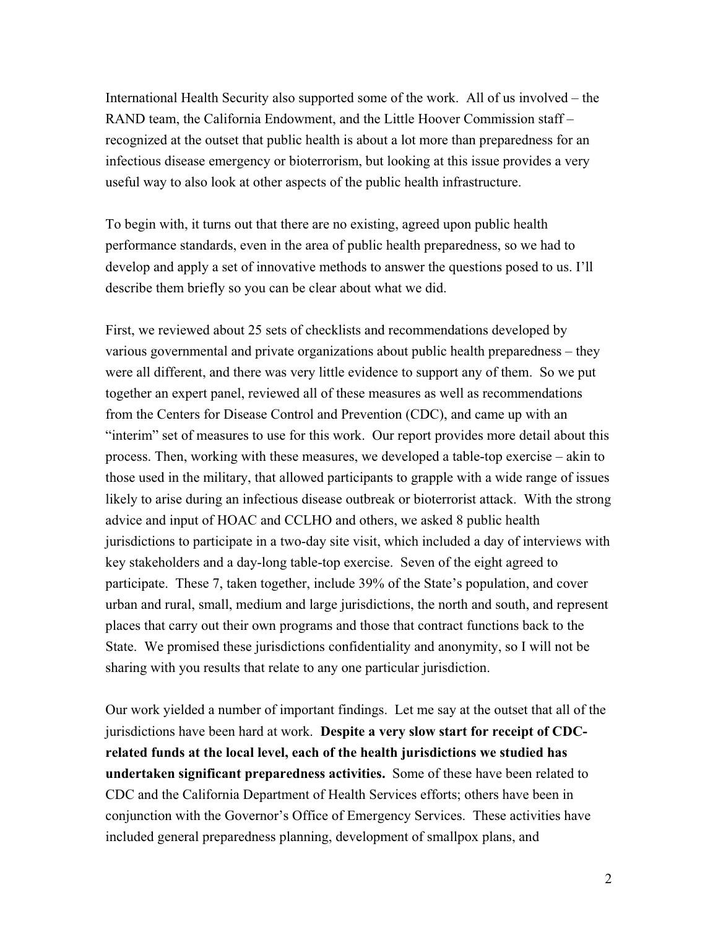International Health Security also supported some of the work. All of us involved – the RAND team, the California Endowment, and the Little Hoover Commission staff – recognized at the outset that public health is about a lot more than preparedness for an infectious disease emergency or bioterrorism, but looking at this issue provides a very useful way to also look at other aspects of the public health infrastructure.

To begin with, it turns out that there are no existing, agreed upon public health performance standards, even in the area of public health preparedness, so we had to develop and apply a set of innovative methods to answer the questions posed to us. I'll describe them briefly so you can be clear about what we did.

First, we reviewed about 25 sets of checklists and recommendations developed by various governmental and private organizations about public health preparedness – they were all different, and there was very little evidence to support any of them. So we put together an expert panel, reviewed all of these measures as well as recommendations from the Centers for Disease Control and Prevention (CDC), and came up with an "interim" set of measures to use for this work. Our report provides more detail about this process. Then, working with these measures, we developed a table-top exercise – akin to those used in the military, that allowed participants to grapple with a wide range of issues likely to arise during an infectious disease outbreak or bioterrorist attack. With the strong advice and input of HOAC and CCLHO and others, we asked 8 public health jurisdictions to participate in a two-day site visit, which included a day of interviews with key stakeholders and a day-long table-top exercise. Seven of the eight agreed to participate. These 7, taken together, include 39% of the State's population, and cover urban and rural, small, medium and large jurisdictions, the north and south, and represent places that carry out their own programs and those that contract functions back to the State. We promised these jurisdictions confidentiality and anonymity, so I will not be sharing with you results that relate to any one particular jurisdiction.

Our work yielded a number of important findings. Let me say at the outset that all of the jurisdictions have been hard at work. **Despite a very slow start for receipt of CDCrelated funds at the local level, each of the health jurisdictions we studied has undertaken significant preparedness activities.** Some of these have been related to CDC and the California Department of Health Services efforts; others have been in conjunction with the Governor's Office of Emergency Services. These activities have included general preparedness planning, development of smallpox plans, and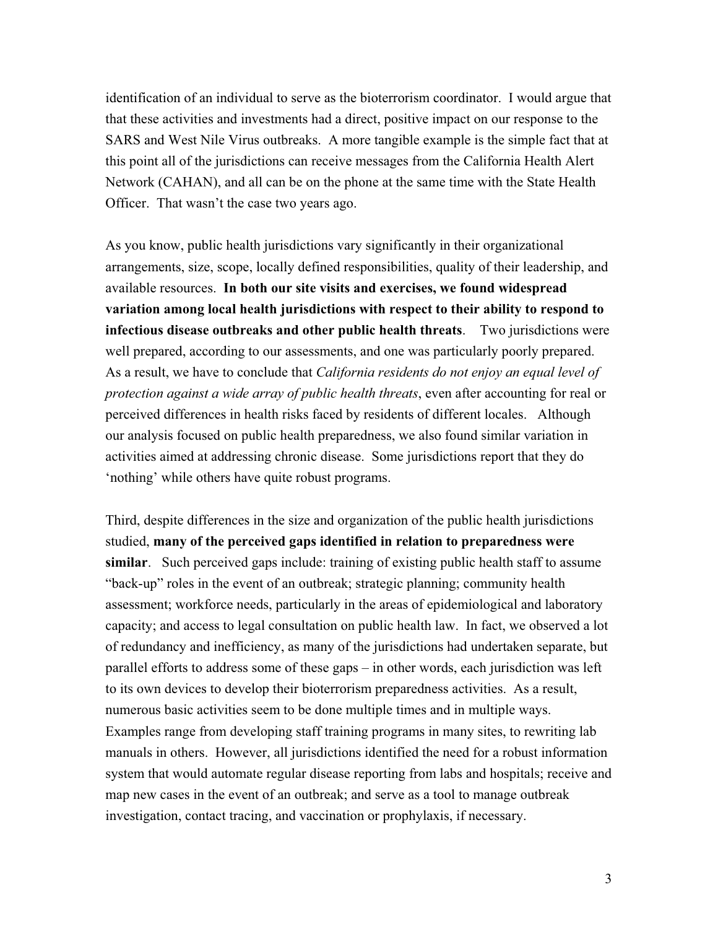identification of an individual to serve as the bioterrorism coordinator. I would argue that that these activities and investments had a direct, positive impact on our response to the SARS and West Nile Virus outbreaks. A more tangible example is the simple fact that at this point all of the jurisdictions can receive messages from the California Health Alert Network (CAHAN), and all can be on the phone at the same time with the State Health Officer. That wasn't the case two years ago.

As you know, public health jurisdictions vary significantly in their organizational arrangements, size, scope, locally defined responsibilities, quality of their leadership, and available resources. **In both our site visits and exercises, we found widespread variation among local health jurisdictions with respect to their ability to respond to infectious disease outbreaks and other public health threats**. Two jurisdictions were well prepared, according to our assessments, and one was particularly poorly prepared. As a result, we have to conclude that *California residents do not enjoy an equal level of protection against a wide array of public health threats*, even after accounting for real or perceived differences in health risks faced by residents of different locales. Although our analysis focused on public health preparedness, we also found similar variation in activities aimed at addressing chronic disease. Some jurisdictions report that they do 'nothing' while others have quite robust programs.

Third, despite differences in the size and organization of the public health jurisdictions studied, **many of the perceived gaps identified in relation to preparedness were similar**. Such perceived gaps include: training of existing public health staff to assume "back-up" roles in the event of an outbreak; strategic planning; community health assessment; workforce needs, particularly in the areas of epidemiological and laboratory capacity; and access to legal consultation on public health law. In fact, we observed a lot of redundancy and inefficiency, as many of the jurisdictions had undertaken separate, but parallel efforts to address some of these gaps – in other words, each jurisdiction was left to its own devices to develop their bioterrorism preparedness activities. As a result, numerous basic activities seem to be done multiple times and in multiple ways. Examples range from developing staff training programs in many sites, to rewriting lab manuals in others. However, all jurisdictions identified the need for a robust information system that would automate regular disease reporting from labs and hospitals; receive and map new cases in the event of an outbreak; and serve as a tool to manage outbreak investigation, contact tracing, and vaccination or prophylaxis, if necessary.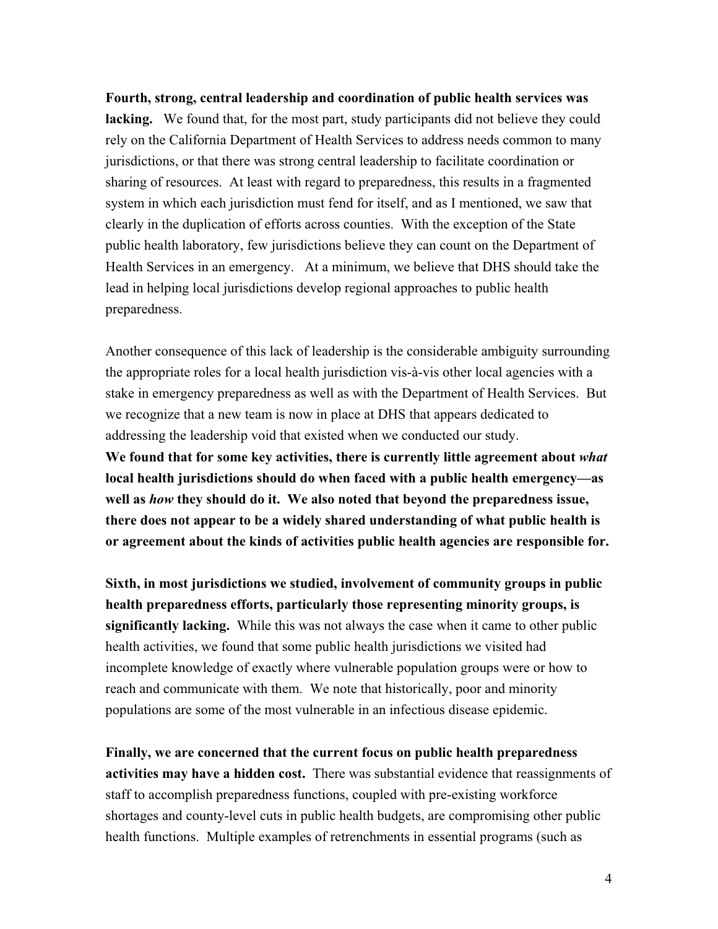**Fourth, strong, central leadership and coordination of public health services was lacking.** We found that, for the most part, study participants did not believe they could rely on the California Department of Health Services to address needs common to many jurisdictions, or that there was strong central leadership to facilitate coordination or sharing of resources. At least with regard to preparedness, this results in a fragmented system in which each jurisdiction must fend for itself, and as I mentioned, we saw that clearly in the duplication of efforts across counties. With the exception of the State public health laboratory, few jurisdictions believe they can count on the Department of Health Services in an emergency. At a minimum, we believe that DHS should take the lead in helping local jurisdictions develop regional approaches to public health preparedness.

Another consequence of this lack of leadership is the considerable ambiguity surrounding the appropriate roles for a local health jurisdiction vis-à-vis other local agencies with a stake in emergency preparedness as well as with the Department of Health Services. But we recognize that a new team is now in place at DHS that appears dedicated to addressing the leadership void that existed when we conducted our study.

**We found that for some key activities, there is currently little agreement about** *what* **local health jurisdictions should do when faced with a public health emergency—as well as** *how* **they should do it. We also noted that beyond the preparedness issue, there does not appear to be a widely shared understanding of what public health is or agreement about the kinds of activities public health agencies are responsible for.** 

**Sixth, in most jurisdictions we studied, involvement of community groups in public health preparedness efforts, particularly those representing minority groups, is significantly lacking.** While this was not always the case when it came to other public health activities, we found that some public health jurisdictions we visited had incomplete knowledge of exactly where vulnerable population groups were or how to reach and communicate with them. We note that historically, poor and minority populations are some of the most vulnerable in an infectious disease epidemic.

**Finally, we are concerned that the current focus on public health preparedness activities may have a hidden cost.** There was substantial evidence that reassignments of staff to accomplish preparedness functions, coupled with pre-existing workforce shortages and county-level cuts in public health budgets, are compromising other public health functions. Multiple examples of retrenchments in essential programs (such as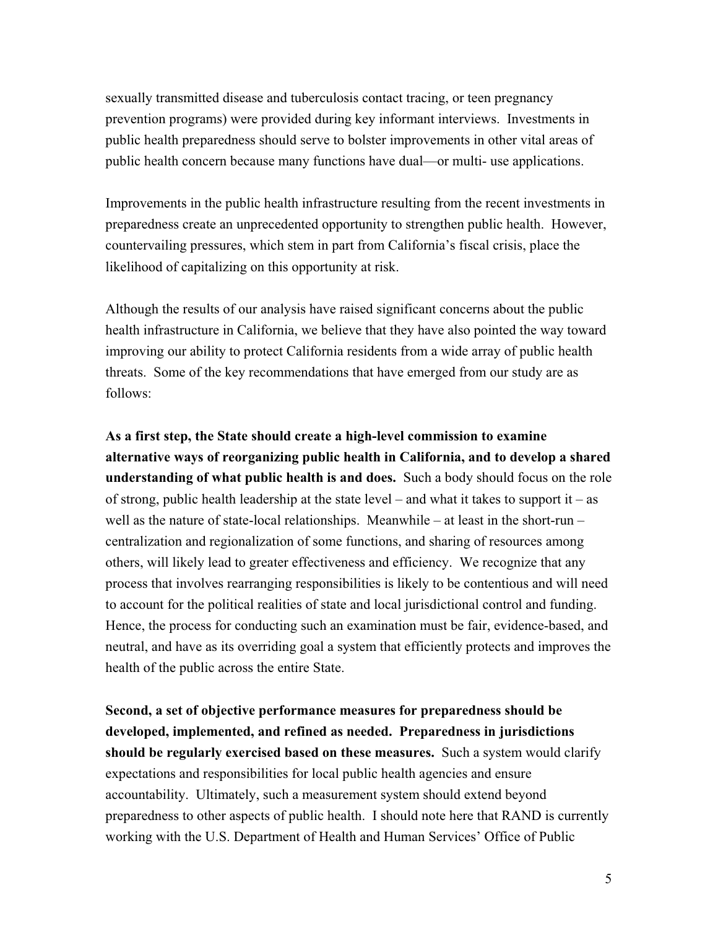sexually transmitted disease and tuberculosis contact tracing, or teen pregnancy prevention programs) were provided during key informant interviews. Investments in public health preparedness should serve to bolster improvements in other vital areas of public health concern because many functions have dual—or multi- use applications.

Improvements in the public health infrastructure resulting from the recent investments in preparedness create an unprecedented opportunity to strengthen public health. However, countervailing pressures, which stem in part from California's fiscal crisis, place the likelihood of capitalizing on this opportunity at risk.

Although the results of our analysis have raised significant concerns about the public health infrastructure in California, we believe that they have also pointed the way toward improving our ability to protect California residents from a wide array of public health threats. Some of the key recommendations that have emerged from our study are as follows:

**As a first step, the State should create a high-level commission to examine alternative ways of reorganizing public health in California, and to develop a shared understanding of what public health is and does.** Such a body should focus on the role of strong, public health leadership at the state level – and what it takes to support it – as well as the nature of state-local relationships. Meanwhile – at least in the short-run – centralization and regionalization of some functions, and sharing of resources among others, will likely lead to greater effectiveness and efficiency. We recognize that any process that involves rearranging responsibilities is likely to be contentious and will need to account for the political realities of state and local jurisdictional control and funding. Hence, the process for conducting such an examination must be fair, evidence-based, and neutral, and have as its overriding goal a system that efficiently protects and improves the health of the public across the entire State.

**Second, a set of objective performance measures for preparedness should be developed, implemented, and refined as needed. Preparedness in jurisdictions should be regularly exercised based on these measures.** Such a system would clarify expectations and responsibilities for local public health agencies and ensure accountability. Ultimately, such a measurement system should extend beyond preparedness to other aspects of public health. I should note here that RAND is currently working with the U.S. Department of Health and Human Services' Office of Public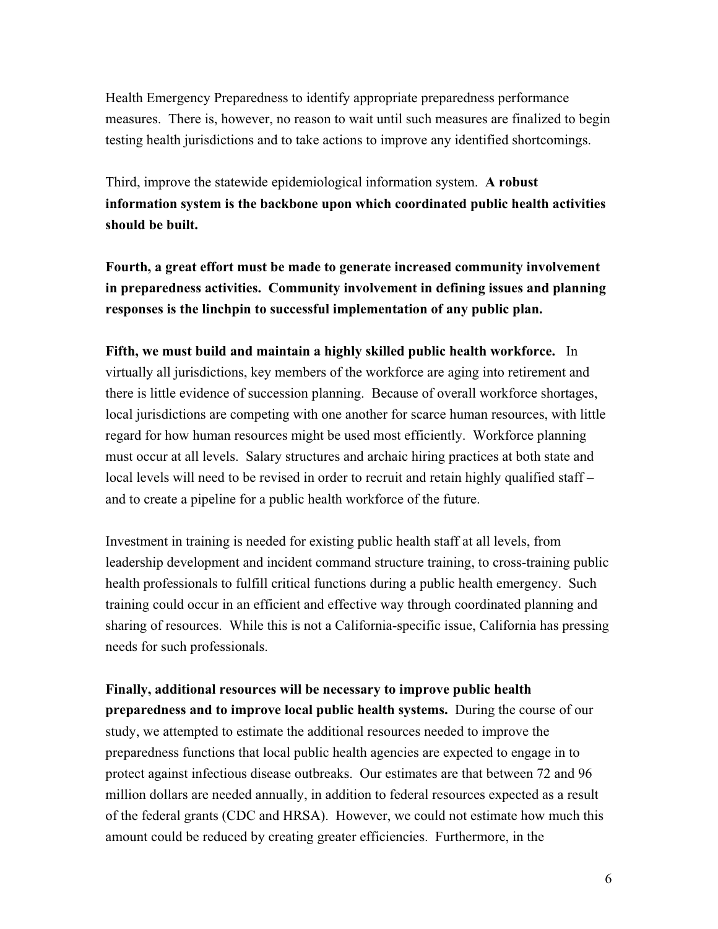Health Emergency Preparedness to identify appropriate preparedness performance measures. There is, however, no reason to wait until such measures are finalized to begin testing health jurisdictions and to take actions to improve any identified shortcomings.

Third, improve the statewide epidemiological information system. **A robust information system is the backbone upon which coordinated public health activities should be built.**

**Fourth, a great effort must be made to generate increased community involvement in preparedness activities. Community involvement in defining issues and planning responses is the linchpin to successful implementation of any public plan.** 

**Fifth, we must build and maintain a highly skilled public health workforce.** In virtually all jurisdictions, key members of the workforce are aging into retirement and there is little evidence of succession planning. Because of overall workforce shortages, local jurisdictions are competing with one another for scarce human resources, with little regard for how human resources might be used most efficiently. Workforce planning must occur at all levels. Salary structures and archaic hiring practices at both state and local levels will need to be revised in order to recruit and retain highly qualified staff – and to create a pipeline for a public health workforce of the future.

Investment in training is needed for existing public health staff at all levels, from leadership development and incident command structure training, to cross-training public health professionals to fulfill critical functions during a public health emergency. Such training could occur in an efficient and effective way through coordinated planning and sharing of resources. While this is not a California-specific issue, California has pressing needs for such professionals.

**Finally, additional resources will be necessary to improve public health preparedness and to improve local public health systems.** During the course of our study, we attempted to estimate the additional resources needed to improve the preparedness functions that local public health agencies are expected to engage in to protect against infectious disease outbreaks. Our estimates are that between 72 and 96 million dollars are needed annually, in addition to federal resources expected as a result of the federal grants (CDC and HRSA). However, we could not estimate how much this amount could be reduced by creating greater efficiencies. Furthermore, in the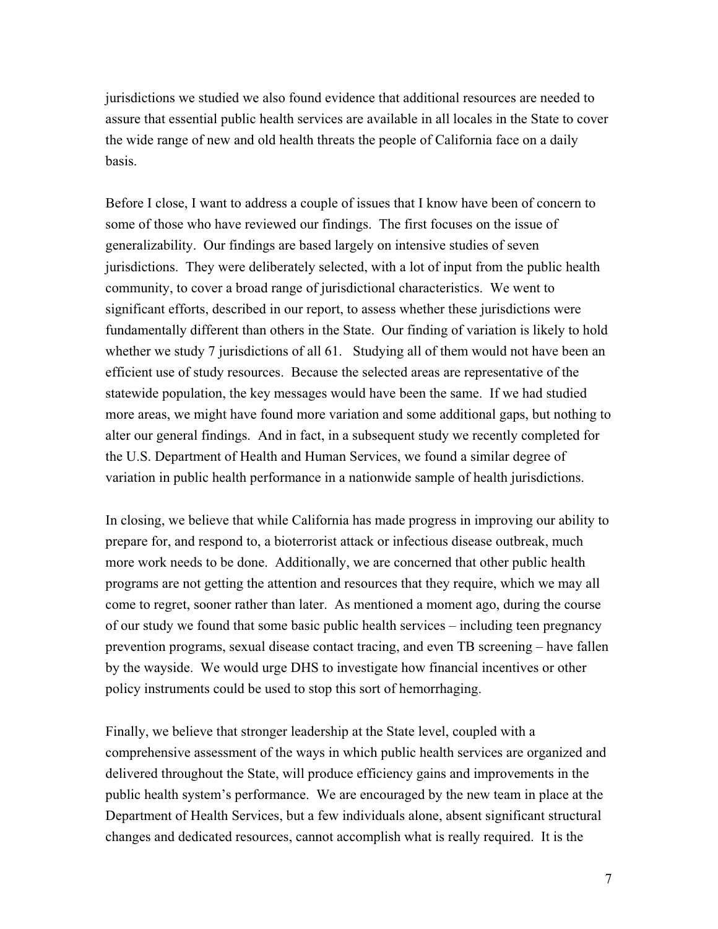jurisdictions we studied we also found evidence that additional resources are needed to assure that essential public health services are available in all locales in the State to cover the wide range of new and old health threats the people of California face on a daily basis.

Before I close, I want to address a couple of issues that I know have been of concern to some of those who have reviewed our findings. The first focuses on the issue of generalizability. Our findings are based largely on intensive studies of seven jurisdictions. They were deliberately selected, with a lot of input from the public health community, to cover a broad range of jurisdictional characteristics. We went to significant efforts, described in our report, to assess whether these jurisdictions were fundamentally different than others in the State. Our finding of variation is likely to hold whether we study 7 jurisdictions of all 61. Studying all of them would not have been an efficient use of study resources. Because the selected areas are representative of the statewide population, the key messages would have been the same. If we had studied more areas, we might have found more variation and some additional gaps, but nothing to alter our general findings. And in fact, in a subsequent study we recently completed for the U.S. Department of Health and Human Services, we found a similar degree of variation in public health performance in a nationwide sample of health jurisdictions.

In closing, we believe that while California has made progress in improving our ability to prepare for, and respond to, a bioterrorist attack or infectious disease outbreak, much more work needs to be done. Additionally, we are concerned that other public health programs are not getting the attention and resources that they require, which we may all come to regret, sooner rather than later. As mentioned a moment ago, during the course of our study we found that some basic public health services – including teen pregnancy prevention programs, sexual disease contact tracing, and even TB screening – have fallen by the wayside. We would urge DHS to investigate how financial incentives or other policy instruments could be used to stop this sort of hemorrhaging.

Finally, we believe that stronger leadership at the State level, coupled with a comprehensive assessment of the ways in which public health services are organized and delivered throughout the State, will produce efficiency gains and improvements in the public health system's performance. We are encouraged by the new team in place at the Department of Health Services, but a few individuals alone, absent significant structural changes and dedicated resources, cannot accomplish what is really required. It is the